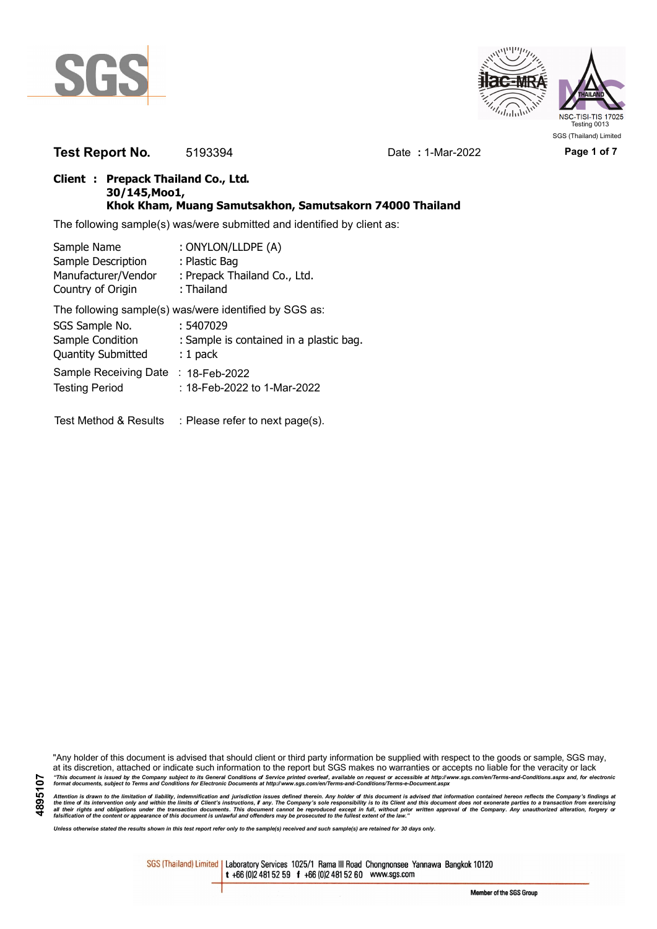



**Test Report No.** 5193394 Date **:** 1-Mar-2022 **Page 1 of 7**

## **Client : Prepack Thailand Co., Ltd. 30/145,Moo1, Khok Kham, Muang Samutsakhon, Samutsakorn 74000 Thailand**

The following sample(s) was/were submitted and identified by client as:

| Sample Name               | : ONYLON/LLDPE (A)                                     |
|---------------------------|--------------------------------------------------------|
| Sample Description        | : Plastic Bag                                          |
| Manufacturer/Vendor       | : Prepack Thailand Co., Ltd.                           |
| Country of Origin         | : Thailand                                             |
|                           | The following sample(s) was/were identified by SGS as: |
| SGS Sample No.            | : 5407029                                              |
| Sample Condition          | : Sample is contained in a plastic bag.                |
| <b>Quantity Submitted</b> | $: 1$ pack                                             |
| Sample Receiving Date     | : 18-Feb-2022                                          |
| <b>Testing Period</b>     | : 18-Feb-2022 to 1-Mar-2022                            |
|                           |                                                        |

Test Method & Results : Please refer to next page(s).

"Any holder of this document is advised that should client or third party information be supplied with respect to the goods or sample, SGS may, at its discretion, attached or indicate such information to the report but SGS makes no warranties or accepts no liable for the veracity or lack "This document is issued by the Company subject to its General Conditions of Service printed overleaf, available on request or accessible at http://www.sgs.com/en/Terms-and-Conditions.aspx and, for electronic<br>format docume

Attention is drawn to the limitation of liability, indemnification and jurisdiction issues defined therein. Any holder of this document is advised that information contained hereon reflects the Company's findings at<br>all th

*Unless otherwise stated the results shown in this test report refer only to the sample(s) received and such sample(s) are retained for 30 days only.*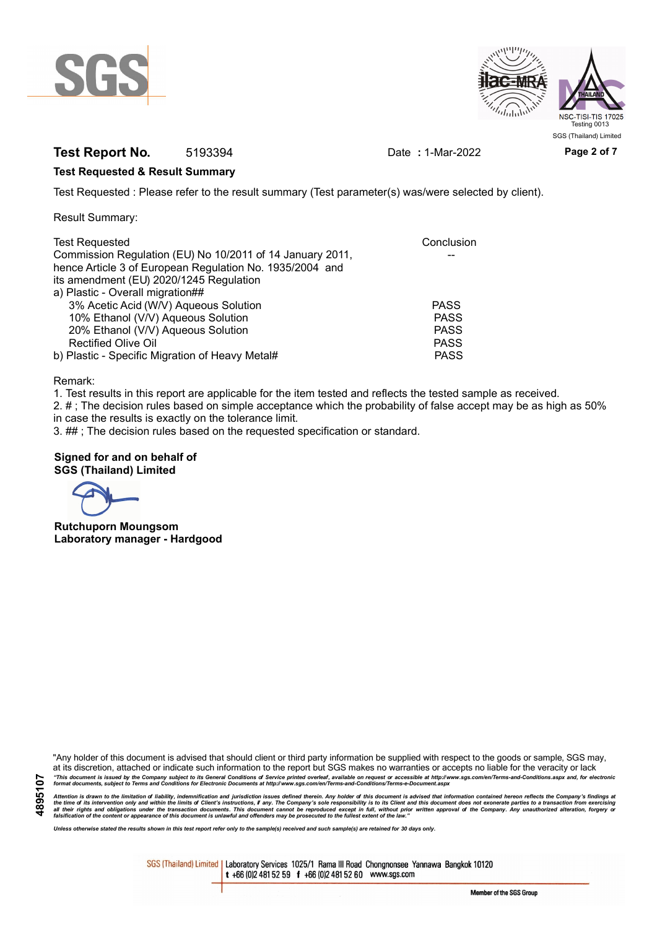



## **Test Report No.** 5193394 Date **:** 1-Mar-2022 **Page 2 of 7**

## **Test Requested & Result Summary**

Test Requested : Please refer to the result summary (Test parameter(s) was/were selected by client).

Result Summary:

| <b>Test Requested</b>                                     | Conclusion  |
|-----------------------------------------------------------|-------------|
| Commission Regulation (EU) No 10/2011 of 14 January 2011, |             |
| hence Article 3 of European Regulation No. 1935/2004 and  |             |
| its amendment (EU) 2020/1245 Regulation                   |             |
| a) Plastic - Overall migration##                          |             |
| 3% Acetic Acid (W/V) Aqueous Solution                     | <b>PASS</b> |
| 10% Ethanol (V/V) Aqueous Solution                        | <b>PASS</b> |
| 20% Ethanol (V/V) Aqueous Solution                        | <b>PASS</b> |
| <b>Rectified Olive Oil</b>                                | <b>PASS</b> |
| b) Plastic - Specific Migration of Heavy Metal#           | <b>PASS</b> |

Remark:

1. Test results in this report are applicable for the item tested and reflects the tested sample as received.

2. # ; The decision rules based on simple acceptance which the probability of false accept may be as high as 50% in case the results is exactly on the tolerance limit.

3. ## ; The decision rules based on the requested specification or standard.

## **Signed for and on behalf of SGS (Thailand) Limited**

**Rutchuporn Moungsom Laboratory manager - Hardgood**

"Any holder of this document is advised that should client or third party information be supplied with respect to the goods or sample, SGS may, at its discretion, attached or indicate such information to the report but SGS makes no warranties or accepts no liable for the veracity or lack "This document is issued by the Company subject to its General Conditions of Service printed overleaf, available on request or accessible at http://www.sgs.com/en/Terms-and-Conditions.aspx and, for electronic<br>format docume

Attention is drawn to the limitation of liability, indemnification and jurisdiction issues defined therein. Any holder of this document is advised that information contained hereon reflects the Company's findings at<br>all th

*Unless otherwise stated the results shown in this test report refer only to the sample(s) received and such sample(s) are retained for 30 days only.*

SGS (Thailand) Limited | Laboratory Services 1025/1 Rama III Road Chongnonsee Yannawa Bangkok 10120 t +66 (0)2 481 52 59 f +66 (0)2 481 52 60 www.sgs.com

Member of the SGS Group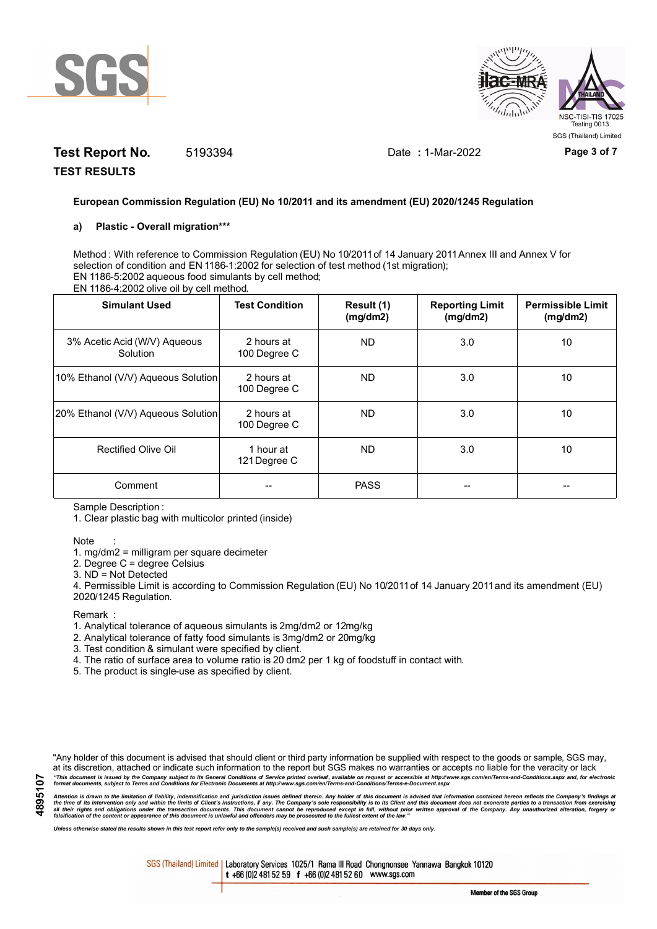



# **Test Report No.** 5193394 Date **:** 1-Mar-2022 **Page 3 of 7**

**TEST RESULTS**

## **European Commission Regulation (EU) No 10/2011 and its amendment (EU) 2020/1245 Regulation**

#### **a) Plastic - Overall migration\*\*\***

Method : With reference to Commission Regulation (EU) No 10/2011 of 14 January 2011 Annex III and Annex V for selection of condition and EN 1186-1:2002 for selection of test method (1st migration); EN 1186-5:2002 aqueous food simulants by cell method; EN 1186-4:2002 olive oil by cell method.

| <b>Simulant Used</b>                     | <b>Test Condition</b>      | Result (1)<br>(mg/dm2) | <b>Reporting Limit</b><br>(mg/dm2) | <b>Permissible Limit</b><br>(mg/dm2) |
|------------------------------------------|----------------------------|------------------------|------------------------------------|--------------------------------------|
| 3% Acetic Acid (W/V) Aqueous<br>Solution | 2 hours at<br>100 Degree C | <b>ND</b>              | 3.0                                | 10                                   |
| 10% Ethanol (V/V) Aqueous Solution       | 2 hours at<br>100 Degree C | ND.                    | 3.0                                | 10                                   |
| 20% Ethanol (V/V) Aqueous Solution       | 2 hours at<br>100 Degree C | ND.                    | 3.0                                | 10                                   |
| Rectified Olive Oil                      | 1 hour at<br>121 Degree C  | <b>ND</b>              | 3.0                                | 10                                   |
| Comment                                  |                            | <b>PASS</b>            |                                    |                                      |

Sample Description :

1. Clear plastic bag with multicolor printed (inside)

#### Note :

1. mg/dm2 = milligram per square decimeter

2. Degree C = degree Celsius

3. ND = Not Detected

4. Permissible Limit is according to Commission Regulation (EU) No 10/2011 of 14 January 2011 and its amendment (EU) 2020/1245 Regulation.

**Remark** 

- 1. Analytical tolerance of aqueous simulants is 2mg/dm2 or 12mg/kg
- 2. Analytical tolerance of fatty food simulants is 3mg/dm2 or 20mg/kg
- 3. Test condition & simulant were specified by client.
- 4. The ratio of surface area to volume ratio is 20 dm2 per 1 kg of foodstuff in contact with.
- 5. The product is single-use as specified by client.

"Any holder of this document is advised that should client or third party information be supplied with respect to the goods or sample, SGS may, at its discretion, attached or indicate such information to the report but SGS makes no warranties or accepts no liable for the veracity or lack "This document is issued by the Company subject to its General Conditions of Service printed overleaf, available on request or accessible at http://www.sgs.com/en/Terms-and-Conditions.aspx and, for electronic<br>format docume

Attention is drawn to the limitation of liability, indemnification and jurisdiction issues defined therein. Any holder of this document is advised that information contained hereon reflects the Company's findings at<br>all th

*Unless otherwise stated the results shown in this test report refer only to the sample(s) received and such sample(s) are retained for 30 days only.*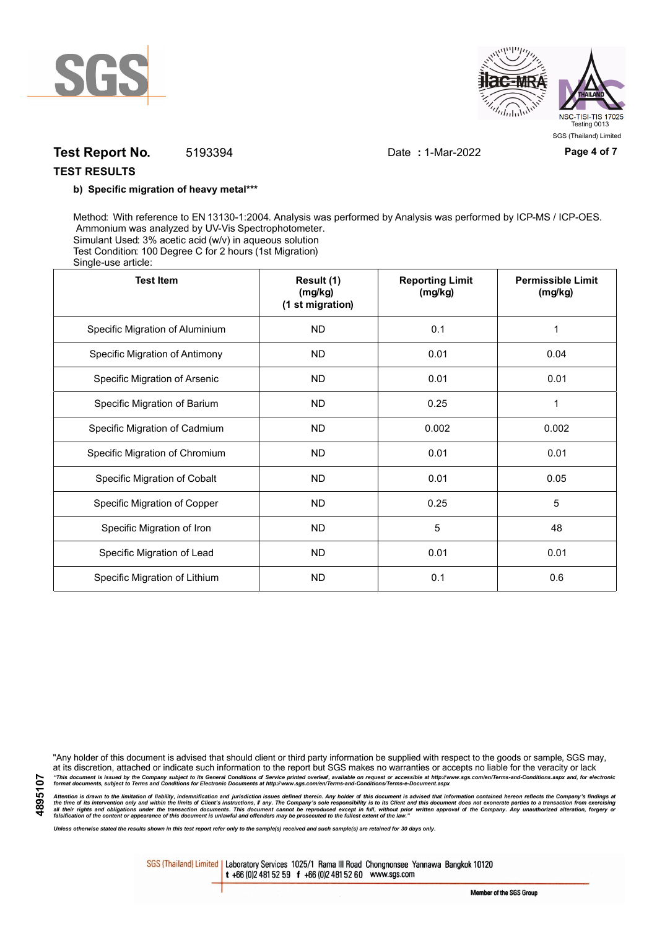



## **Test Report No.** 5193394 Date **:** 1-Mar-2022 **Page 4 of 7**

## **TEST RESULTS**

### **b) Specific migration of heavy metal\*\*\***

Method: With reference to EN 13130-1:2004. Analysis was performed by Analysis was performed by ICP-MS / ICP-OES. Ammonium was analyzed by UV-Vis Spectrophotometer. Simulant Used: 3% acetic acid (w/v) in aqueous solution Test Condition: 100 Degree C for 2 hours (1st Migration) Single-use article:

| <b>Test Item</b>                | Result (1)<br>(mg/kg)<br>(1 st migration) | <b>Reporting Limit</b><br>(mg/kg) | <b>Permissible Limit</b><br>(mg/kg) |
|---------------------------------|-------------------------------------------|-----------------------------------|-------------------------------------|
| Specific Migration of Aluminium | <b>ND</b>                                 | 0.1                               | 1                                   |
| Specific Migration of Antimony  | <b>ND</b>                                 | 0.01                              | 0.04                                |
| Specific Migration of Arsenic   | <b>ND</b>                                 | 0.01                              | 0.01                                |
| Specific Migration of Barium    | <b>ND</b>                                 | 0.25                              | 1                                   |
| Specific Migration of Cadmium   | <b>ND</b>                                 | 0.002                             | 0.002                               |
| Specific Migration of Chromium  | <b>ND</b>                                 | 0.01                              | 0.01                                |
| Specific Migration of Cobalt    | <b>ND</b>                                 | 0.01                              | 0.05                                |
| Specific Migration of Copper    | <b>ND</b>                                 | 0.25                              | 5                                   |
| Specific Migration of Iron      | <b>ND</b>                                 | 5                                 | 48                                  |
| Specific Migration of Lead      | <b>ND</b>                                 | 0.01                              | 0.01                                |
| Specific Migration of Lithium   | ND.                                       | 0.1                               | 0.6                                 |

**4895107**

"Any holder of this document is advised that should client or third party information be supplied with respect to the goods or sample, SGS may, at its discretion, attached or indicate such information to the report but SGS makes no warranties or accepts no liable for the veracity or lack "This document is issued by the Company subject to its General Conditions of Service printed overleaf, available on request or accessible at http://www.sgs.com/en/Terms-and-Conditions.aspx and, for electronic<br>format docume

Attention is drawn to the limitation of liability, indemnification and jurisdiction issues defined therein. Any holder of this document is advised that information contained hereon reflects the Company's findings at<br>all th

*Unless otherwise stated the results shown in this test report refer only to the sample(s) received and such sample(s) are retained for 30 days only.*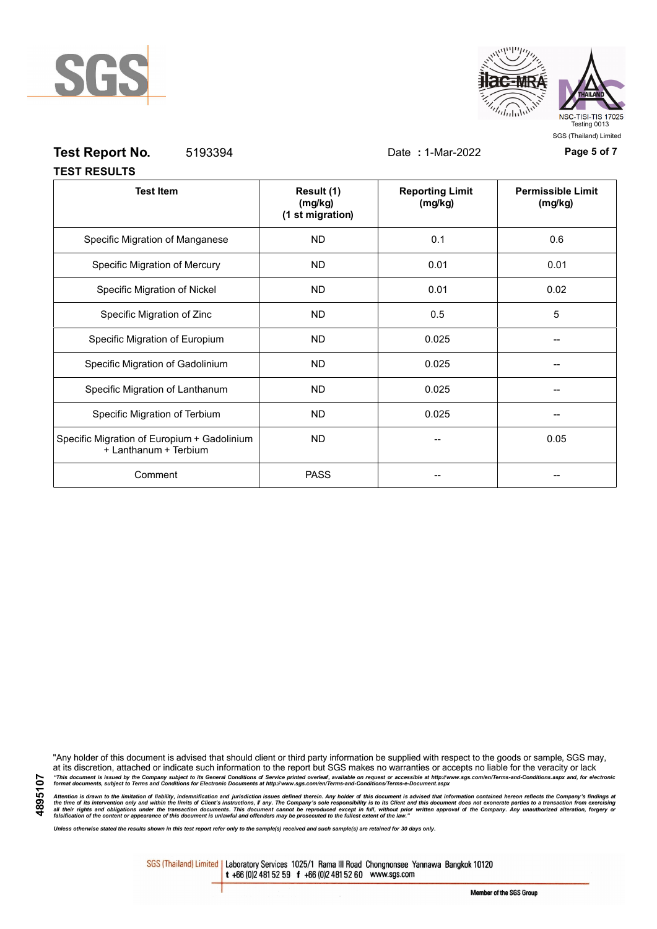



| <b>Test Report No.</b><br>5193394                                    |                                           | Date: 1-Mar-2022                  | Page 5 of 7                         |
|----------------------------------------------------------------------|-------------------------------------------|-----------------------------------|-------------------------------------|
| <b>TEST RESULTS</b>                                                  |                                           |                                   |                                     |
| <b>Test Item</b>                                                     | Result (1)<br>(mg/kg)<br>(1 st migration) | <b>Reporting Limit</b><br>(mg/kg) | <b>Permissible Limit</b><br>(mg/kg) |
| Specific Migration of Manganese                                      | <b>ND</b>                                 | 0.1                               | 0.6                                 |
| Specific Migration of Mercury                                        | <b>ND</b>                                 | 0.01                              | 0.01                                |
| Specific Migration of Nickel                                         | <b>ND</b>                                 | 0.01                              | 0.02                                |
| Specific Migration of Zinc                                           | <b>ND</b>                                 | 0.5                               | 5                                   |
| Specific Migration of Europium                                       | <b>ND</b>                                 | 0.025                             |                                     |
| Specific Migration of Gadolinium                                     | <b>ND</b>                                 | 0.025                             |                                     |
| Specific Migration of Lanthanum                                      | <b>ND</b>                                 | 0.025                             |                                     |
| Specific Migration of Terbium                                        | <b>ND</b>                                 | 0.025                             | --                                  |
| Specific Migration of Europium + Gadolinium<br>+ Lanthanum + Terbium | ND.                                       |                                   | 0.05                                |
| Comment                                                              | <b>PASS</b>                               | --                                |                                     |

"Any holder of this document is advised that should client or third party information be supplied with respect to the goods or sample, SGS may, at its discretion, attached or indicate such information to the report but SGS makes no warranties or accepts no liable for the veracity or lack "This document is issued by the Company subject to its General Conditions of Service printed overleaf, available on request or accessible at http://www.sgs.com/en/Terms-and-Conditions.aspx and, for electronic<br>format docume

Attention is drawn to the limitation of liability, indemnification and jurisdiction issues defined therein. Any holder of this document is advised that information contained hereon reflects the Company's findings at<br>all th

*Unless otherwise stated the results shown in this test report refer only to the sample(s) received and such sample(s) are retained for 30 days only.*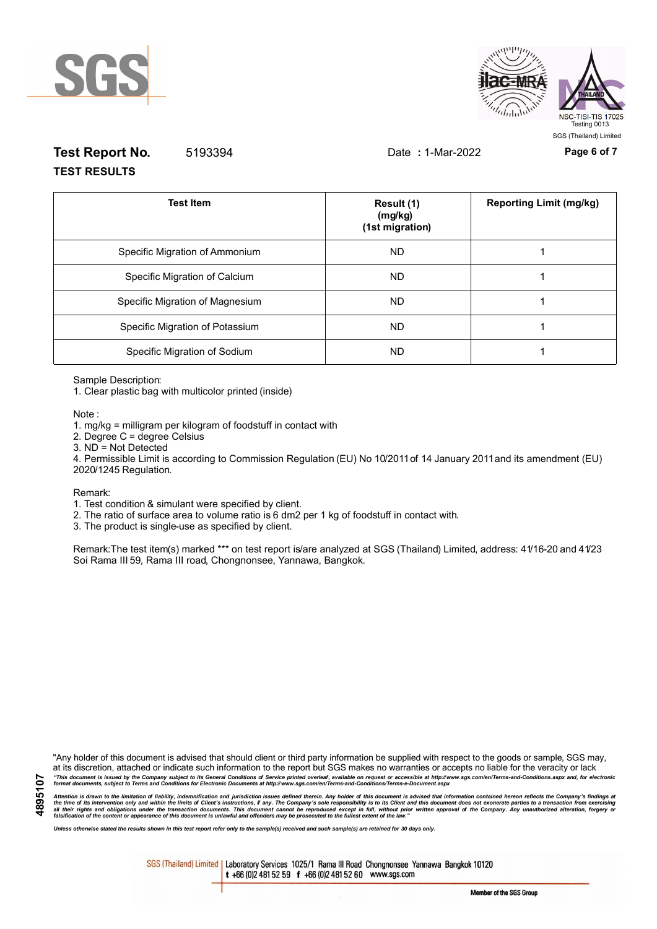



# **Test Report No.** 5193394 Date **:** 1-Mar-2022 **Page 6 of 7 TEST RESULTS**

| <b>Test Item</b>                | Result (1)<br>(mg/kg)<br>(1st migration) | <b>Reporting Limit (mg/kg)</b> |
|---------------------------------|------------------------------------------|--------------------------------|
| Specific Migration of Ammonium  | <b>ND</b>                                |                                |
| Specific Migration of Calcium   | ND.                                      |                                |
| Specific Migration of Magnesium | <b>ND</b>                                |                                |
| Specific Migration of Potassium | <b>ND</b>                                |                                |
| Specific Migration of Sodium    | ND.                                      |                                |

Sample Description:

1. Clear plastic bag with multicolor printed (inside)

Note :

1. mg/kg = milligram per kilogram of foodstuff in contact with

- 2. Degree C = degree Celsius
- 3. ND = Not Detected

4. Permissible Limit is according to Commission Regulation (EU) No 10/2011 of 14 January 2011 and its amendment (EU) 2020/1245 Regulation.

#### Remark:

1. Test condition & simulant were specified by client.

2. The ratio of surface area to volume ratio is 6 dm2 per 1 kg of foodstuff in contact with.

3. The product is single-use as specified by client.

Remark:The test item(s) marked \*\*\* on test report is/are analyzed at SGS (Thailand) Limited, address: 41/16-20 and 41/23 Soi Rama III 59, Rama III road, Chongnonsee, Yannawa, Bangkok.

"Any holder of this document is advised that should client or third party information be supplied with respect to the goods or sample, SGS may, at its discretion, attached or indicate such information to the report but SGS makes no warranties or accepts no liable for the veracity or lack "This document is issued by the Company subject to its General Conditions of Service printed overleaf, available on request or accessible at http://www.sgs.com/en/Terms-and-Conditions.aspx and, for electronic<br>format docume

Attention is drawn to the limitation of liability, indemnification and jurisdiction issues defined therein. Any holder of this document is advised that information contained hereon reflects the Company's findings at<br>all th

*Unless otherwise stated the results shown in this test report refer only to the sample(s) received and such sample(s) are retained for 30 days only.*